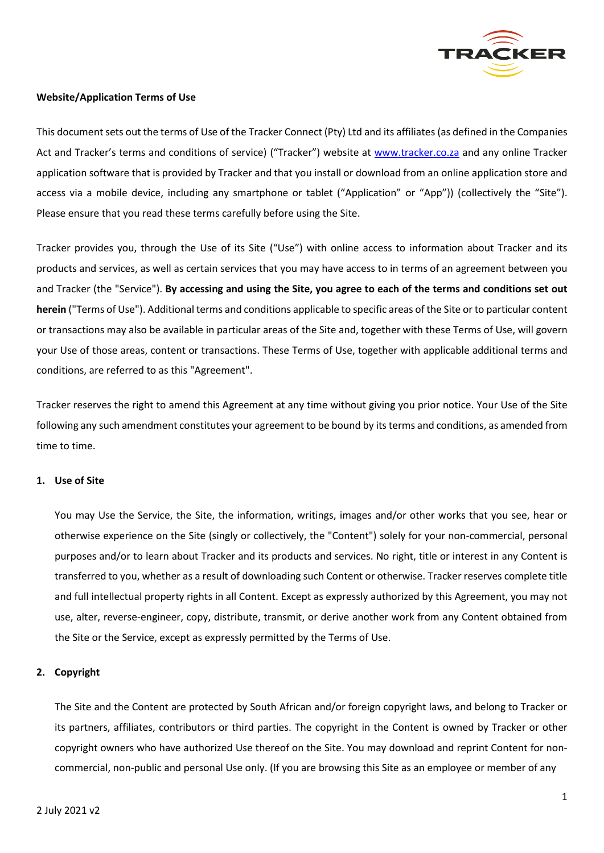

# **Website/Application Terms of Use**

This document sets out the terms of Use of the Tracker Connect (Pty) Ltd and its affiliates (as defined in the Companies Act and Tracker's terms and conditions of service) ("Tracker") website at [www.tracker.co.za](http://www.tracker.co.za/) and any online Tracker application software that is provided by Tracker and that you install or download from an online application store and access via a mobile device, including any smartphone or tablet ("Application" or "App")) (collectively the "Site"). Please ensure that you read these terms carefully before using the Site.

Tracker provides you, through the Use of its Site ("Use") with online access to information about Tracker and its products and services, as well as certain services that you may have access to in terms of an agreement between you and Tracker (the "Service"). **By accessing and using the Site, you agree to each of the terms and conditions set out herein** ("Terms of Use"). Additional terms and conditions applicable to specific areas of the Site or to particular content or transactions may also be available in particular areas of the Site and, together with these Terms of Use, will govern your Use of those areas, content or transactions. These Terms of Use, together with applicable additional terms and conditions, are referred to as this "Agreement".

Tracker reserves the right to amend this Agreement at any time without giving you prior notice. Your Use of the Site following any such amendment constitutes your agreement to be bound by its terms and conditions, as amended from time to time.

# **1. Use of Site**

You may Use the Service, the Site, the information, writings, images and/or other works that you see, hear or otherwise experience on the Site (singly or collectively, the "Content") solely for your non-commercial, personal purposes and/or to learn about Tracker and its products and services. No right, title or interest in any Content is transferred to you, whether as a result of downloading such Content or otherwise. Tracker reserves complete title and full intellectual property rights in all Content. Except as expressly authorized by this Agreement, you may not use, alter, reverse-engineer, copy, distribute, transmit, or derive another work from any Content obtained from the Site or the Service, except as expressly permitted by the Terms of Use.

# **2. Copyright**

The Site and the Content are protected by South African and/or foreign copyright laws, and belong to Tracker or its partners, affiliates, contributors or third parties. The copyright in the Content is owned by Tracker or other copyright owners who have authorized Use thereof on the Site. You may download and reprint Content for noncommercial, non-public and personal Use only. (If you are browsing this Site as an employee or member of any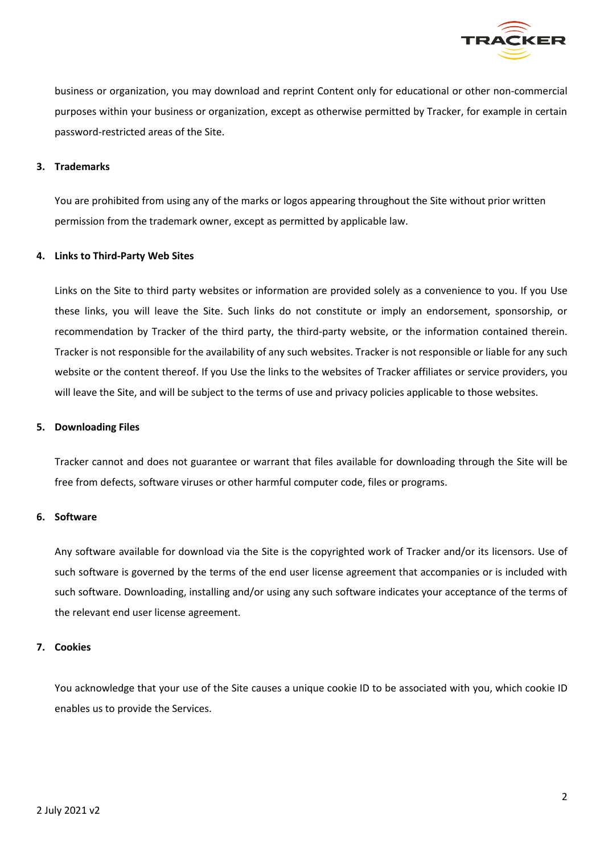

business or organization, you may download and reprint Content only for educational or other non-commercial purposes within your business or organization, except as otherwise permitted by Tracker, for example in certain password-restricted areas of the Site.

### **3. Trademarks**

You are prohibited from using any of the marks or logos appearing throughout the Site without prior written permission from the trademark owner, except as permitted by applicable law.

### **4. Links to Third-Party Web Sites**

Links on the Site to third party websites or information are provided solely as a convenience to you. If you Use these links, you will leave the Site. Such links do not constitute or imply an endorsement, sponsorship, or recommendation by Tracker of the third party, the third-party website, or the information contained therein. Tracker is not responsible for the availability of any such websites. Tracker is not responsible or liable for any such website or the content thereof. If you Use the links to the websites of Tracker affiliates or service providers, you will leave the Site, and will be subject to the terms of use and privacy policies applicable to those websites.

#### **5. Downloading Files**

Tracker cannot and does not guarantee or warrant that files available for downloading through the Site will be free from defects, software viruses or other harmful computer code, files or programs.

#### **6. Software**

Any software available for download via the Site is the copyrighted work of Tracker and/or its licensors. Use of such software is governed by the terms of the end user license agreement that accompanies or is included with such software. Downloading, installing and/or using any such software indicates your acceptance of the terms of the relevant end user license agreement.

# **7. Cookies**

You acknowledge that your use of the Site causes a unique cookie ID to be associated with you, which cookie ID enables us to provide the Services.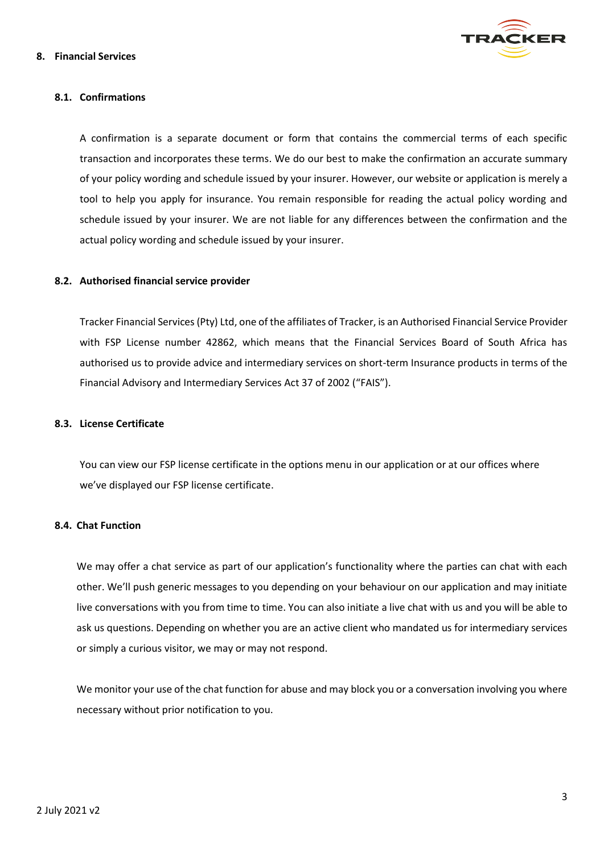

### **8. Financial Services**

# **8.1. Confirmations**

A confirmation is a separate document or form that contains the commercial terms of each specific transaction and incorporates these terms. We do our best to make the confirmation an accurate summary of your policy wording and schedule issued by your insurer. However, our website or application is merely a tool to help you apply for insurance. You remain responsible for reading the actual policy wording and schedule issued by your insurer. We are not liable for any differences between the confirmation and the actual policy wording and schedule issued by your insurer.

### **8.2. Authorised financial service provider**

Tracker Financial Services (Pty) Ltd, one of the affiliates of Tracker, is an Authorised Financial Service Provider with FSP License number 42862, which means that the Financial Services Board of South Africa has authorised us to provide advice and intermediary services on short-term Insurance products in terms of the Financial Advisory and Intermediary Services Act 37 of 2002 ("FAIS").

#### **8.3. License Certificate**

You can view our FSP license certificate in the options menu in our application or at our offices where we've displayed our FSP license certificate.

### **8.4. Chat Function**

We may offer a chat service as part of our application's functionality where the parties can chat with each other. We'll push generic messages to you depending on your behaviour on our application and may initiate live conversations with you from time to time. You can also initiate a live chat with us and you will be able to ask us questions. Depending on whether you are an active client who mandated us for intermediary services or simply a curious visitor, we may or may not respond.

We monitor your use of the chat function for abuse and may block you or a conversation involving you where necessary without prior notification to you.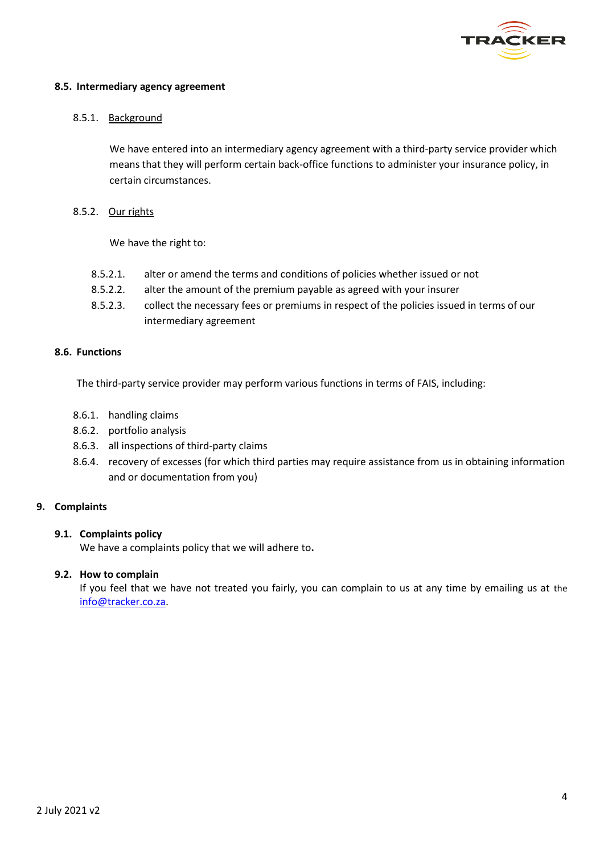

### **8.5. Intermediary agency agreement**

### 8.5.1. Background

We have entered into an intermediary agency agreement with a third-party service provider which means that they will perform certain back-office functions to administer your insurance policy, in certain circumstances.

8.5.2. Our rights

We have the right to:

- 8.5.2.1. alter or amend the terms and conditions of policies whether issued or not
- 8.5.2.2. alter the amount of the premium payable as agreed with your insurer
- 8.5.2.3. collect the necessary fees or premiums in respect of the policies issued in terms of our intermediary agreement

### **8.6. Functions**

The third-party service provider may perform various functions in terms of FAIS, including:

- 8.6.1. handling claims
- 8.6.2. portfolio analysis
- 8.6.3. all inspections of third-party claims
- 8.6.4. recovery of excesses (for which third parties may require assistance from us in obtaining information and or documentation from you)

# **9. Complaints**

# **9.1. Complaints policy**

We have a complaints policy that we will adhere to**.**

#### **9.2. How to complain**

If you feel that we have not treated you fairly, you can complain to us at any time by emailing us at the [info@tracker.co.za.](mailto:info@tracker.co.za)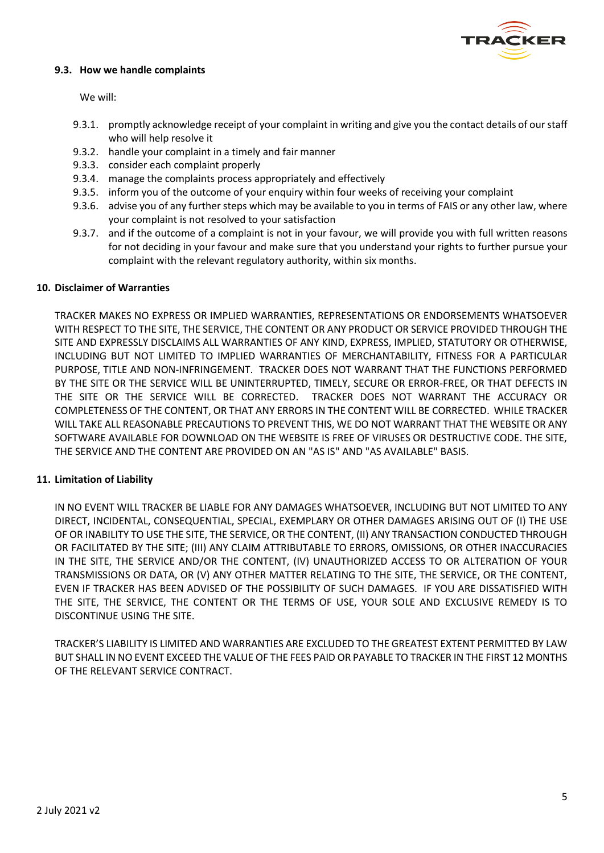

# **9.3. How we handle complaints**

We will:

- 9.3.1. promptly acknowledge receipt of your complaint in writing and give you the contact details of our staff who will help resolve it
- 9.3.2. handle your complaint in a timely and fair manner
- 9.3.3. consider each complaint properly
- 9.3.4. manage the complaints process appropriately and effectively
- 9.3.5. inform you of the outcome of your enquiry within four weeks of receiving your complaint
- 9.3.6. advise you of any further steps which may be available to you in terms of FAIS or any other law, where your complaint is not resolved to your satisfaction
- 9.3.7. and if the outcome of a complaint is not in your favour, we will provide you with full written reasons for not deciding in your favour and make sure that you understand your rights to further pursue your complaint with the relevant regulatory authority, within six months.

### **10. Disclaimer of Warranties**

TRACKER MAKES NO EXPRESS OR IMPLIED WARRANTIES, REPRESENTATIONS OR ENDORSEMENTS WHATSOEVER WITH RESPECT TO THE SITE, THE SERVICE, THE CONTENT OR ANY PRODUCT OR SERVICE PROVIDED THROUGH THE SITE AND EXPRESSLY DISCLAIMS ALL WARRANTIES OF ANY KIND, EXPRESS, IMPLIED, STATUTORY OR OTHERWISE, INCLUDING BUT NOT LIMITED TO IMPLIED WARRANTIES OF MERCHANTABILITY, FITNESS FOR A PARTICULAR PURPOSE, TITLE AND NON-INFRINGEMENT. TRACKER DOES NOT WARRANT THAT THE FUNCTIONS PERFORMED BY THE SITE OR THE SERVICE WILL BE UNINTERRUPTED, TIMELY, SECURE OR ERROR-FREE, OR THAT DEFECTS IN THE SITE OR THE SERVICE WILL BE CORRECTED. TRACKER DOES NOT WARRANT THE ACCURACY OR COMPLETENESS OF THE CONTENT, OR THAT ANY ERRORS IN THE CONTENT WILL BE CORRECTED. WHILE TRACKER WILL TAKE ALL REASONABLE PRECAUTIONS TO PREVENT THIS, WE DO NOT WARRANT THAT THE WEBSITE OR ANY SOFTWARE AVAILABLE FOR DOWNLOAD ON THE WEBSITE IS FREE OF VIRUSES OR DESTRUCTIVE CODE. THE SITE, THE SERVICE AND THE CONTENT ARE PROVIDED ON AN "AS IS" AND "AS AVAILABLE" BASIS.

# **11. Limitation of Liability**

IN NO EVENT WILL TRACKER BE LIABLE FOR ANY DAMAGES WHATSOEVER, INCLUDING BUT NOT LIMITED TO ANY DIRECT, INCIDENTAL, CONSEQUENTIAL, SPECIAL, EXEMPLARY OR OTHER DAMAGES ARISING OUT OF (I) THE USE OF OR INABILITY TO USE THE SITE, THE SERVICE, OR THE CONTENT, (II) ANY TRANSACTION CONDUCTED THROUGH OR FACILITATED BY THE SITE; (III) ANY CLAIM ATTRIBUTABLE TO ERRORS, OMISSIONS, OR OTHER INACCURACIES IN THE SITE, THE SERVICE AND/OR THE CONTENT, (IV) UNAUTHORIZED ACCESS TO OR ALTERATION OF YOUR TRANSMISSIONS OR DATA, OR (V) ANY OTHER MATTER RELATING TO THE SITE, THE SERVICE, OR THE CONTENT, EVEN IF TRACKER HAS BEEN ADVISED OF THE POSSIBILITY OF SUCH DAMAGES. IF YOU ARE DISSATISFIED WITH THE SITE, THE SERVICE, THE CONTENT OR THE TERMS OF USE, YOUR SOLE AND EXCLUSIVE REMEDY IS TO DISCONTINUE USING THE SITE.

TRACKER'S LIABILITY IS LIMITED AND WARRANTIES ARE EXCLUDED TO THE GREATEST EXTENT PERMITTED BY LAW BUT SHALL IN NO EVENT EXCEED THE VALUE OF THE FEES PAID OR PAYABLE TO TRACKER IN THE FIRST 12 MONTHS OF THE RELEVANT SERVICE CONTRACT.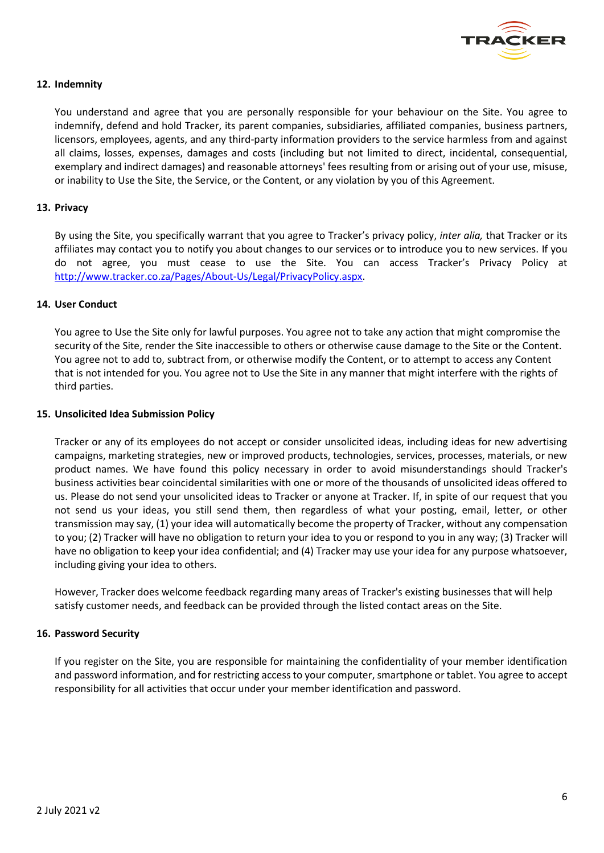

# **12. Indemnity**

You understand and agree that you are personally responsible for your behaviour on the Site. You agree to indemnify, defend and hold Tracker, its parent companies, subsidiaries, affiliated companies, business partners, licensors, employees, agents, and any third-party information providers to the service harmless from and against all claims, losses, expenses, damages and costs (including but not limited to direct, incidental, consequential, exemplary and indirect damages) and reasonable attorneys' fees resulting from or arising out of your use, misuse, or inability to Use the Site, the Service, or the Content, or any violation by you of this Agreement.

### **13. Privacy**

By using the Site, you specifically warrant that you agree to Tracker's privacy policy, *inter alia,* that Tracker or its affiliates may contact you to notify you about changes to our services or to introduce you to new services. If you do not agree, you must cease to use the Site. You can access Tracker's Privacy Policy at [http://www.tracker.co.za/Pages/About-Us/Legal/PrivacyPolicy.aspx.](http://www.tracker.co.za/Pages/About-Us/Legal/PrivacyPolicy.aspx)

#### **14. User Conduct**

You agree to Use the Site only for lawful purposes. You agree not to take any action that might compromise the security of the Site, render the Site inaccessible to others or otherwise cause damage to the Site or the Content. You agree not to add to, subtract from, or otherwise modify the Content, or to attempt to access any Content that is not intended for you. You agree not to Use the Site in any manner that might interfere with the rights of third parties.

#### **15. Unsolicited Idea Submission Policy**

Tracker or any of its employees do not accept or consider unsolicited ideas, including ideas for new advertising campaigns, marketing strategies, new or improved products, technologies, services, processes, materials, or new product names. We have found this policy necessary in order to avoid misunderstandings should Tracker's business activities bear coincidental similarities with one or more of the thousands of unsolicited ideas offered to us. Please do not send your unsolicited ideas to Tracker or anyone at Tracker. If, in spite of our request that you not send us your ideas, you still send them, then regardless of what your posting, email, letter, or other transmission may say, (1) your idea will automatically become the property of Tracker, without any compensation to you; (2) Tracker will have no obligation to return your idea to you or respond to you in any way; (3) Tracker will have no obligation to keep your idea confidential; and (4) Tracker may use your idea for any purpose whatsoever, including giving your idea to others.

However, Tracker does welcome feedback regarding many areas of Tracker's existing businesses that will help satisfy customer needs, and feedback can be provided through the listed contact areas on the Site.

# **16. Password Security**

If you register on the Site, you are responsible for maintaining the confidentiality of your member identification and password information, and for restricting access to your computer, smartphone or tablet. You agree to accept responsibility for all activities that occur under your member identification and password.